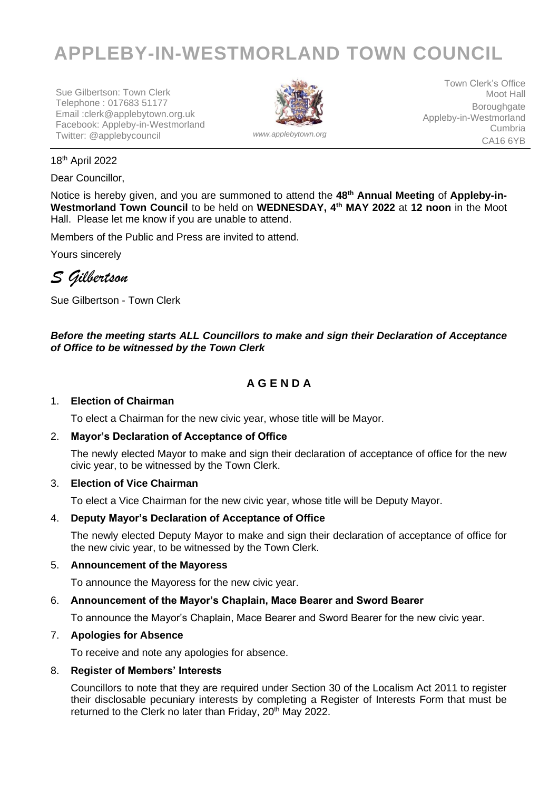# **APPLEBY-IN-WESTMORLAND TOWN COUNCIL**

Sue Gilbertson: Town Clerk Telephone : 017683 51177 Email :clerk@applebytown.org.uk Facebook: Appleby-in-Westmorland Twitter: @applebycouncil *www.applebytown.org*



Town Clerk's Office Moot Hall Boroughgate Appleby-in-Westmorland Cumbria CA16 6YB

#### 18th April 2022

Dear Councillor,

Notice is hereby given, and you are summoned to attend the 48<sup>th</sup> Annual Meeting of Appleby-in-**Westmorland Town Council** to be held on **WEDNESDAY, 4 th MAY 2022** at **12 noon** in the Moot Hall.Please let me know if you are unable to attend.

Members of the Public and Press are invited to attend.

Yours sincerely

*S Gilbertson*

Sue Gilbertson - Town Clerk

# *Before the meeting starts ALL Councillors to make and sign their Declaration of Acceptance of Office to be witnessed by the Town Clerk*

# **A G E N D A**

#### 1. **Election of Chairman**

To elect a Chairman for the new civic year, whose title will be Mayor.

#### 2. **Mayor's Declaration of Acceptance of Office**

The newly elected Mayor to make and sign their declaration of acceptance of office for the new civic year, to be witnessed by the Town Clerk.

#### 3. **Election of Vice Chairman**

To elect a Vice Chairman for the new civic year, whose title will be Deputy Mayor.

#### 4. **Deputy Mayor's Declaration of Acceptance of Office**

The newly elected Deputy Mayor to make and sign their declaration of acceptance of office for the new civic year, to be witnessed by the Town Clerk.

#### 5. **Announcement of the Mayoress**

To announce the Mayoress for the new civic year.

#### 6. **Announcement of the Mayor's Chaplain, Mace Bearer and Sword Bearer**

To announce the Mayor's Chaplain, Mace Bearer and Sword Bearer for the new civic year.

#### 7. **Apologies for Absence**

To receive and note any apologies for absence.

#### 8. **Register of Members' Interests**

Councillors to note that they are required under Section 30 of the Localism Act 2011 to register their disclosable pecuniary interests by completing a Register of Interests Form that must be returned to the Clerk no later than Friday, 20<sup>th</sup> May 2022.